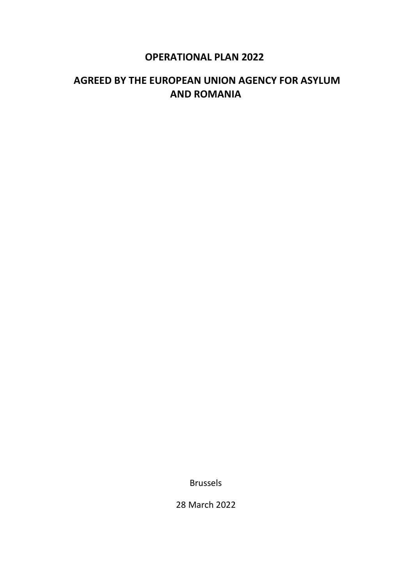# **OPERATIONAL PLAN 2022**

# **AGREED BY THE EUROPEAN UNION AGENCY FOR ASYLUM AND ROMANIA**

Brussels

28 March 2022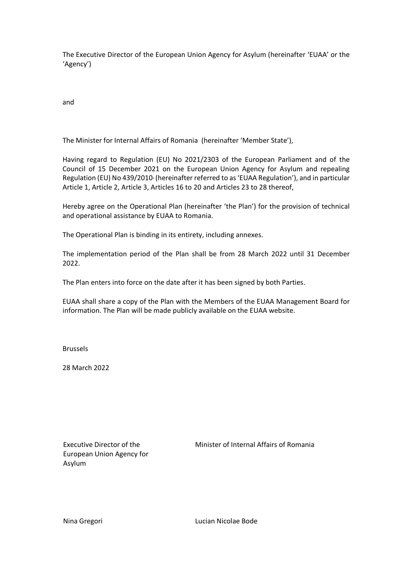The Executive Director of the European Union Agency for Asylum (hereinafter 'EUAA' or the 'Agency')  

and  

The Minister for Internal Affairs of Romania (hereinafter 'Member State'), 

Having regard to Regulation (EU) No 2021/2303 of the European Parliament and of the Council of 15 December 2021 on the European Union Agency for Asylum and repealing Regulation (EU) No 439/2010<sup>1</sup> (hereinafter referred to as 'EUAA Regulation'), and in particular Article 1, Article 2, Article 3, Articles 16 to 20 and Articles 23 to 28 thereof, 

Hereby agree on the Operational Plan (hereinafter 'the Plan') for the provision of technical and operational assistance by EUAA to Romania. 

The Operational Plan is binding in its entirety, including annexes. 

The implementation period of the Plan shall be from 28 March 2022 until 31 December 2022.  

The Plan enters into force on the date after it has been signed by both Parties.  

EUAA shall share a copy of the Plan with the Members of the EUAA Management Board for information. The Plan will be made publicly available on the EUAA website.  

Brussels

28 March 2022

Executive Director of the European Union Agency for Asylum 

Minister of Internal Affairs of Romania

Nina Gregori

Lucian Nicolae Bode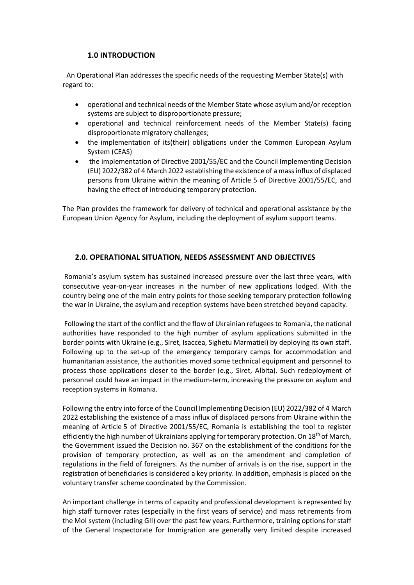## **1.0 INTRODUCTION**

An Operational Plan addresses the specific needs of the requesting Member State(s) with regard to: 

- operational and technical needs of the Member State whose asylum and/or reception systems are subject to disproportionate pressure;
- operational and technical reinforcement needs of the Member State(s) facing disproportionate migratory challenges;
- the implementation of its(their) obligations under the Common European Asylum System (CEAS)
- the implementation of Directive 2001/55/EC and the Council Implementing Decision (EU) 2022/382 of 4 March 2022 establishing the existence of a mass influx of displaced persons from Ukraine within the meaning of Article 5 of Directive 2001/55/EC, and having the effect of introducing temporary protection.

The Plan provides the framework for delivery of technical and operational assistance by the European Union Agency for Asylum, including the deployment of asylum support teams. 

## **2.0. OPERATIONAL SITUATION, NEEDS ASSESSMENT AND OBJECTIVES**

 Romania's asylum system has sustained increased pressure over the last three years, with consecutive year-on-year increases in the number of new applications lodged. With the country being one of the main entry points for those seeking temporary protection following the war in Ukraine, the asylum and reception systems have been stretched beyond capacity.

Following the start of the conflict and the flow of Ukrainian refugees to Romania, the national authorities have responded to the high number of asylum applications submitted in the border points with Ukraine (e.g., Siret, Isaccea, Sighetu Marmatiei) by deploying its own staff. Following up to the set-up of the emergency temporary camps for accommodation and humanitarian assistance, the authorities moved some technical equipment and personnel to process those applications closer to the border (e.g., Siret, Albita). Such redeployment of personnel could have an impact in the medium-term, increasing the pressure on asylum and reception systems in Romania. 

Following the entry into force of the Council Implementing Decision (EU) 2022/382 of 4 March 2022 establishing the existence of a mass influx of displaced persons from Ukraine within the meaning of Article 5 of Directive 2001/55/EC, Romania is establishing the tool to register efficiently the high number of Ukrainians applying for temporary protection. On 18<sup>th</sup> of March, the Government issued the Decision no. 367 on the establishment of the conditions for the provision of temporary protection, as well as on the amendment and completion of regulations in the field of foreigners. As the number of arrivals is on the rise, support in the registration of beneficiaries is considered a key priority. In addition, emphasis is placed on the voluntary transfer scheme coordinated by the Commission.

An important challenge in terms of capacity and professional development is represented by high staff turnover rates (especially in the first years of service) and mass retirements from the MoI system (including GII) over the past few years. Furthermore, training options for staff of the General Inspectorate for Immigration are generally very limited despite increased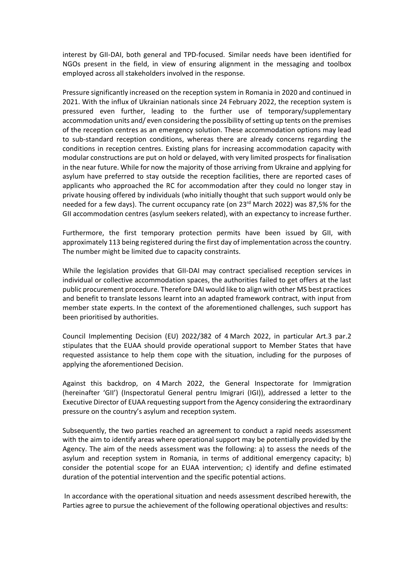interest by GII-DAI, both general and TPD-focused.  Similar needs have been identified for NGOs present in the field, in view of ensuring alignment in the messaging and toolbox employed across all stakeholders involved in the response.

Pressure significantly increased on the reception system in Romania in 2020 and continued in 2021. With the influx of Ukrainian nationals since 24 February 2022, the reception system is pressured even further, leading to the further use of temporary/supplementary accommodation units and/ even considering the possibility of setting up tents on the premises of the reception centres as an emergency solution. These accommodation options may lead to sub-standard reception conditions, whereas there are already concerns regarding the conditions in reception centres. Existing plans for increasing accommodation capacity with modular constructions are put on hold or delayed, with very limited prospects for finalisation in the near future. While for now the majority of those arriving from Ukraine and applying for asylum have preferred to stay outside the reception facilities, there are reported cases of applicants who approached the RC for accommodation after they could no longer stay in private housing offered by individuals (who initially thought that such support would only be needed for a few days). The current occupancy rate (on  $23<sup>rd</sup>$  March 2022) was 87,5% for the GII accommodation centres (asylum seekers related), with an expectancy to increase further.

Furthermore, the first temporary protection permits have been issued by GII, with approximately 113 being registered during the first day of implementation across the country. The number might be limited due to capacity constraints.

While the legislation provides that GII-DAI may contract specialised reception services in individual or collective accommodation spaces, the authorities failed to get offers at the last public procurement procedure. Therefore DAI would like to align with other MS best practices and benefit to translate lessons learnt into an adapted framework contract, with input from member state experts. In the context of the aforementioned challenges, such support has been prioritised by authorities.

Council Implementing Decision (EU) 2022/382 of 4 March 2022, in particular Art.3 par.2 stipulates that the EUAA should provide operational support to Member States that have requested assistance to help them cope with the situation, including for the purposes of applying the aforementioned Decision.

Against this backdrop, on 4 March 2022, the General Inspectorate for Immigration (hereinafter 'GII') (Inspectoratul General pentru Imigrari (IGI)), addressed a letter to the Executive Director of EUAA requesting support from the Agency considering the extraordinary pressure on the country's asylum and reception system.

Subsequently, the two parties reached an agreement to conduct a rapid needs assessment with the aim to identify areas where operational support may be potentially provided by the Agency. The aim of the needs assessment was the following: a) to assess the needs of the asylum and reception system in Romania, in terms of additional emergency capacity; b) consider the potential scope for an EUAA intervention; c) identify and define estimated duration of the potential intervention and the specific potential actions. 

In accordance with the operational situation and needs assessment described herewith, the Parties agree to pursue the achievement of the following operational objectives and results: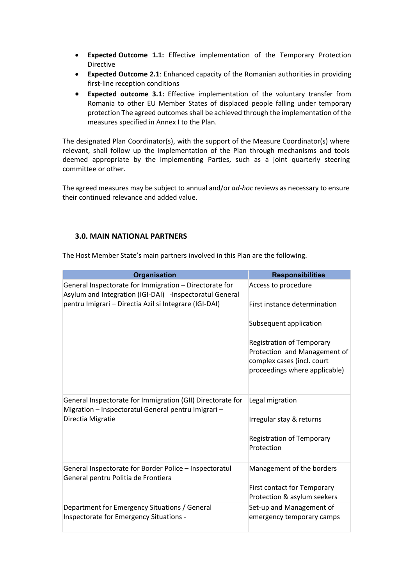- **Expected Outcome 1.1:** Effective implementation of the Temporary Protection Directive
- **Expected Outcome 2.1**: Enhanced capacity of the Romanian authorities in providing first-line reception conditions
- **Expected outcome 3.1:** Effective implementation of the voluntary transfer from Romania to other EU Member States of displaced people falling under temporary protection The agreed outcomes shall be achieved through the implementation of the measures specified in Annex I to the Plan.

The designated Plan Coordinator(s), with the support of the Measure Coordinator(s) where relevant, shall follow up the implementation of the Plan through mechanisms and tools deemed appropriate by the implementing Parties, such as a joint quarterly steering committee or other.  

The agreed measures may be subject to annual and/or *ad-hoc* reviews as necessary to ensure their continued relevance and added value.  

## **3.0. MAIN NATIONAL PARTNERS**

The Host Member State's main partners involved in this Plan are the following.

| <b>Organisation</b>                                                                                               | <b>Responsibilities</b>                                                                     |
|-------------------------------------------------------------------------------------------------------------------|---------------------------------------------------------------------------------------------|
| General Inspectorate for Immigration - Directorate for<br>Asylum and Integration (IGI-DAI) -Inspectoratul General | Access to procedure                                                                         |
| pentru Imigrari - Directia Azil si Integrare (IGI-DAI)                                                            | First instance determination                                                                |
|                                                                                                                   | Subsequent application                                                                      |
|                                                                                                                   | <b>Registration of Temporary</b>                                                            |
|                                                                                                                   | Protection and Management of<br>complex cases (incl. court<br>proceedings where applicable) |
| General Inspectorate for Immigration (GII) Directorate for<br>Migration - Inspectoratul General pentru Imigrari - | Legal migration                                                                             |
| Directia Migratie                                                                                                 | Irregular stay & returns                                                                    |
|                                                                                                                   | <b>Registration of Temporary</b><br>Protection                                              |
| General Inspectorate for Border Police - Inspectoratul<br>General pentru Politia de Frontiera                     | Management of the borders                                                                   |
|                                                                                                                   | <b>First contact for Temporary</b><br>Protection & asylum seekers                           |
| Department for Emergency Situations / General<br>Inspectorate for Emergency Situations -                          | Set-up and Management of<br>emergency temporary camps                                       |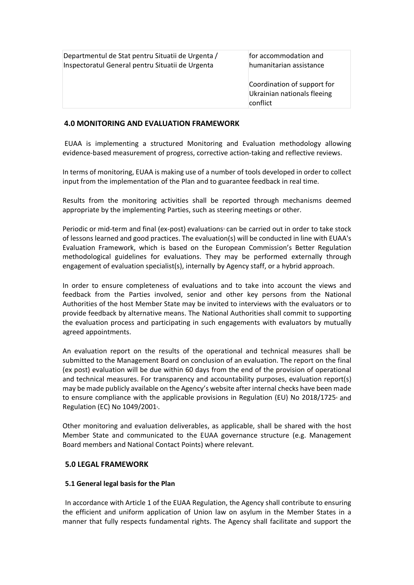| Departmentul de Stat pentru Situatii de Urgenta / | for accommodation and                                                  |
|---------------------------------------------------|------------------------------------------------------------------------|
| Inspectoratul General pentru Situatii de Urgenta  | humanitarian assistance                                                |
|                                                   | Coordination of support for<br>Ukrainian nationals fleeing<br>conflict |

## **4.0 MONITORING AND EVALUATION FRAMEWORK**

EUAA is implementing a structured Monitoring and Evaluation methodology allowing evidence-based measurement of progress, corrective action-taking and reflective reviews.  

In terms of monitoring, EUAA is making use of a number of tools developed in order to collect input from the implementation of the Plan and to guarantee feedback in real time.  

Results from the monitoring activities shall be reported through mechanisms deemed appropriate by the implementing Parties, such as steering meetings or other. 

Periodic or mid-term and final (ex-post) evaluations<sup>3</sup> can be carried out in order to take stock of lessons learned and good practices. The evaluation(s) will be conducted in line with EUAA's Evaluation Framework, which is based on the European Commission's Better Regulation methodological guidelines for evaluations. They may be performed externally through engagement of evaluation specialist(s), internally by Agency staff, or a hybrid approach.  

In order to ensure completeness of evaluations and to take into account the views and feedback from the Parties involved, senior and other key persons from the National Authorities of the host Member State may be invited to interviews with the evaluators or to provide feedback by alternative means. The National Authorities shall commit to supporting the evaluation process and participating in such engagements with evaluators by mutually agreed appointments. 

An evaluation report on the results of the operational and technical measures shall be submitted to the Management Board on conclusion of an evaluation. The report on the final (ex post) evaluation will be due within 60 days from the end of the provision of operational and technical measures. For transparency and accountability purposes, evaluation report(s) may be made publicly available on the Agency's website after internal checks have been made to ensure compliance with the applicable provisions in Regulation (EU) No 2018/1725<sup>4</sup> and Regulation (EC) No 1049/20015. 

Other monitoring and evaluation deliverables, as applicable, shall be shared with the host Member State and communicated to the EUAA governance structure (e.g. Management Board members and National Contact Points) where relevant. 

## **5.0 LEGAL FRAMEWORK**

## **5.1 General legal basis for the Plan**

In accordance with Article 1 of the EUAA Regulation, the Agency shall contribute to ensuring the efficient and uniform application of Union law on asylum in the Member States in a manner that fully respects fundamental rights. The Agency shall facilitate and support the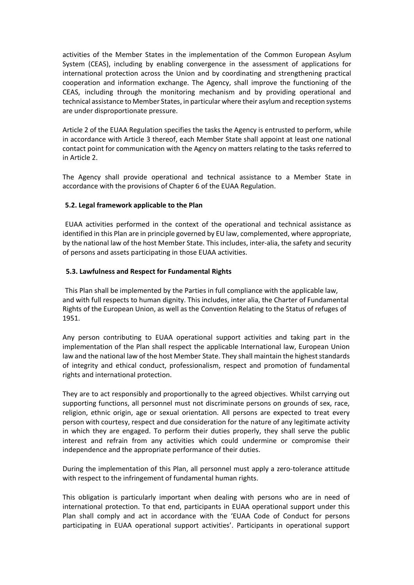activities of the Member States in the implementation of the Common European Asylum System (CEAS), including by enabling convergence in the assessment of applications for international protection across the Union and by coordinating and strengthening practical cooperation and information exchange. The Agency, shall improve the functioning of the CEAS, including through the monitoring mechanism and by providing operational and technical assistance to Member States, in particular where their asylum and reception systems are under disproportionate pressure.  

Article 2 of the EUAA Regulation specifies the tasks the Agency is entrusted to perform, while in accordance with Article 3 thereof, each Member State shall appoint at least one national contact point for communication with the Agency on matters relating to the tasks referred to in Article 2. 

The Agency shall provide operational and technical assistance to a Member State in accordance with the provisions of Chapter 6 of the EUAA Regulation.  

## **5.2. Legal framework applicable to the Plan**

EUAA activities performed in the context of the operational and technical assistance as identified in this Plan are in principle governed by EU law, complemented, where appropriate, by the national law of the host Member State. This includes, inter-alia, the safety and security of persons and assets participating in those EUAA activities. 

## **5.3. Lawfulness and Respect for Fundamental Rights**

This Plan shall be implemented by the Parties in full compliance with the applicable law, and with full respects to human dignity. This includes, inter alia, the Charter of Fundamental Rights of the European Union, as well as the Convention Relating to the Status of refuges of 1951. 

Any person contributing to EUAA operational support activities and taking part in the implementation of the Plan shall respect the applicable International law, European Union law and the national law of the host Member State. They shall maintain the highest standards of integrity and ethical conduct, professionalism, respect and promotion of fundamental rights and international protection. 

They are to act responsibly and proportionally to the agreed objectives. Whilst carrying out supporting functions, all personnel must not discriminate persons on grounds of sex, race, religion, ethnic origin, age or sexual orientation. All persons are expected to treat every person with courtesy, respect and due consideration for the nature of any legitimate activity in which they are engaged. To perform their duties properly, they shall serve the public interest and refrain from any activities which could undermine or compromise their independence and the appropriate performance of their duties.  

During the implementation of this Plan, all personnel must apply a zero-tolerance attitude with respect to the infringement of fundamental human rights.  

This obligation is particularly important when dealing with persons who are in need of international protection. To that end, participants in EUAA operational support under this Plan shall comply and act in accordance with the 'EUAA Code of Conduct for persons participating in EUAA operational support activities'. Participants in operational support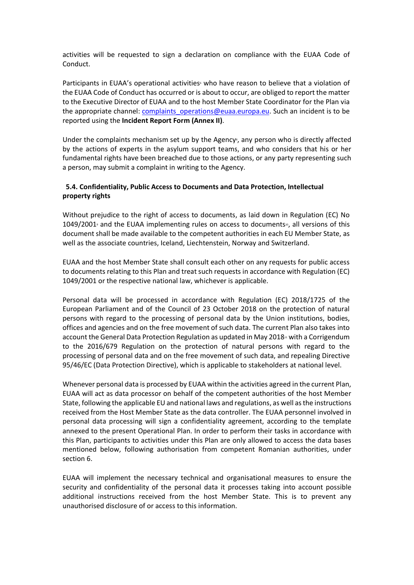activities will be requested to sign a declaration on compliance with the EUAA Code of Conduct. 

Participants in EUAA's operational activities who have reason to believe that a violation of the EUAA Code of Conduct has occurred or is about to occur, are obliged to report the matter to the Executive Director of EUAA and to the host Member State Coordinator for the Plan via the appropriate channel: [complaints\\_operations@euaa.europa.eu.](mailto:complaints_operations@euaa.europa.eu) Such an incident is to be reported using the **Incident Report Form (Annex II)**.  

Under the complaints mechanism set up by the Agency<sup>\$</sup>, any person who is directly affected by the actions of experts in the asylum support teams, and who considers that his or her fundamental rights have been breached due to those actions, or any party representing such a person, may submit a complaint in writing to the Agency. 

## **5.4. Confidentiality, Public Access to Documents and Data Protection, Intellectual property rights**

Without prejudice to the right of access to documents, as laid down in Regulation (EC) No  $1049/2001$ <sup>9</sup> and the EUAA implementing rules on access to documents<sup>10</sup>, all versions of this document shall be made available to the competent authorities in each EU Member State, as well as the associate countries, Iceland, Liechtenstein, Norway and Switzerland.  

EUAA and the host Member State shall consult each other on any requests for public access to documents relating to this Plan and treat such requests in accordance with Regulation (EC) 1049/2001 or the respective national law, whichever is applicable. 

Personal data will be processed in accordance with Regulation (EC) 2018/1725 of the European Parliament and of the Council of 23 October 2018 on the protection of natural persons with regard to the processing of personal data by the Union institutions, bodies, offices and agencies and on the free movement of such data. The current Plan also takes into account the General Data Protection Regulation as updated in May 2018<sup>1</sup> with a Corrigendum to the 2016/679 Regulation on the protection of natural persons with regard to the processing of personal data and on the free movement of such data, and repealing Directive 95/46/EC (Data Protection Directive), which is applicable to stakeholders at national level. 

Whenever personal data is processed by EUAA within the activities agreed in the current Plan, EUAA will act as data processor on behalf of the competent authorities of the host Member State, following the applicable EU and national laws and regulations, as well as the instructions received from the Host Member State as the data controller. The EUAA personnel involved in personal data processing will sign a confidentiality agreement, according to the template annexed to the present Operational Plan. In order to perform their tasks in accordance with this Plan, participants to activities under this Plan are only allowed to access the data bases mentioned below, following authorisation from competent Romanian authorities, under section 6. 

EUAA will implement the necessary technical and organisational measures to ensure the security and confidentiality of the personal data it processes taking into account possible additional instructions received from the host Member State. This is to prevent any unauthorised disclosure of or access to this information.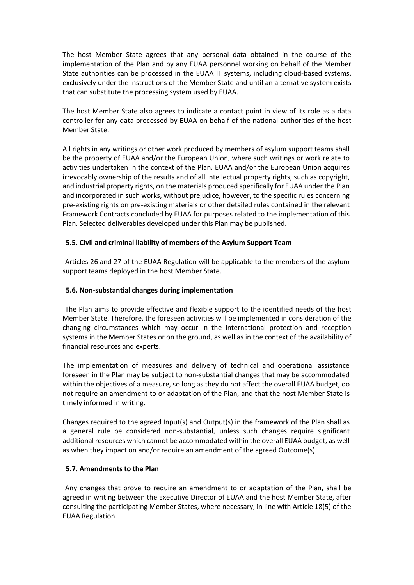The host Member State agrees that any personal data obtained in the course of the implementation of the Plan and by any EUAA personnel working on behalf of the Member State authorities can be processed in the EUAA IT systems, including cloud-based systems, exclusively under the instructions of the Member State and until an alternative system exists that can substitute the processing system used by EUAA.

The host Member State also agrees to indicate a contact point in view of its role as a data controller for any data processed by EUAA on behalf of the national authorities of the host Member State.

All rights in any writings or other work produced by members of asylum support teams shall be the property of EUAA and/or the European Union, where such writings or work relate to activities undertaken in the context of the Plan. EUAA and/or the European Union acquires irrevocably ownership of the results and of all intellectual property rights, such as copyright, and industrial property rights, on the materials produced specifically for EUAA under the Plan and incorporated in such works, without prejudice, however, to the specific rules concerning pre-existing rights on pre-existing materials or other detailed rules contained in the relevant Framework Contracts concluded by EUAA for purposes related to the implementation of this Plan. Selected deliverables developed under this Plan may be published.  

## **5.5. Civil and criminal liability of members of the Asylum Support Team**

Articles 26 and 27 of the EUAA Regulation will be applicable to the members of the asylum support teams deployed in the host Member State. 

## **5.6. Non-substantial changes during implementation**

The Plan aims to provide effective and flexible support to the identified needs of the host Member State. Therefore, the foreseen activities will be implemented in consideration of the changing circumstances which may occur in the international protection and reception systems in the Member States or on the ground, as well as in the context of the availability of financial resources and experts. 

The implementation of measures and delivery of technical and operational assistance foreseen in the Plan may be subject to non-substantial changes that may be accommodated within the objectives of a measure, so long as they do not affect the overall EUAA budget, do not require an amendment to or adaptation of the Plan, and that the host Member State is timely informed in writing.  

Changes required to the agreed Input(s) and Output(s) in the framework of the Plan shall as a general rule be considered non-substantial, unless such changes require significant additional resources which cannot be accommodated within the overall EUAA budget, as well as when they impact on and/or require an amendment of the agreed Outcome(s).  

## **5.7. Amendments to the Plan**

Any changes that prove to require an amendment to or adaptation of the Plan, shall be agreed in writing between the Executive Director of EUAA and the host Member State, after consulting the participating Member States, where necessary, in line with Article 18(5) of the EUAA Regulation.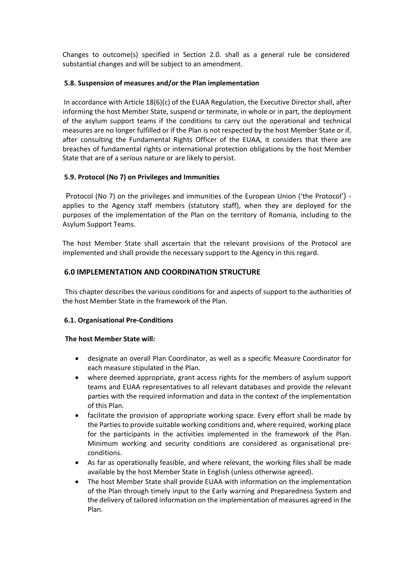Changes to outcome(s) specified in Section 2.0. shall as a general rule be considered substantial changes and will be subject to an amendment. 

## **5.8. Suspension of measures and/or the Plan implementation**

In accordance with Article 18(6)(c) of the EUAA Regulation, the Executive Director shall, after informing the host Member State, suspend or terminate, in whole or in part, the deployment of the asylum support teams if the conditions to carry out the operational and technical measures are no longer fulfilled or if the Plan is not respected by the host Member State or if, after consulting the Fundamental Rights Officer of the EUAA, it considers that there are breaches of fundamental rights or international protection obligations by the host Member State that are of a serious nature or are likely to persist. 

## **5.9. Protocol (No 7) on Privileges and Immunities**

Protocol (No 7) on the privileges and immunities of the European Union ('the Protocol')  $\alpha$ applies to the Agency staff members (statutory staff), when they are deployed for the purposes of the implementation of the Plan on the territory of Romania, including to the Asylum Support Teams.  

The host Member State shall ascertain that the relevant provisions of the Protocol are implemented and shall provide the necessary support to the Agency in this regard. 

## **6.0 IMPLEMENTATION AND COORDINATION STRUCTURE**

This chapter describes the various conditions for and aspects of support to the authorities of the host Member State in the framework of the Plan.  

## **6.1. Organisational Pre-Conditions**

## **The host Member State will:**

- designate an overall Plan Coordinator, as well as a specific Measure Coordinator for each measure stipulated in the Plan.
- where deemed appropriate, grant access rights for the members of asylum support teams and EUAA representatives to all relevant databases and provide the relevant parties with the required information and data in the context of the implementation of this Plan.
- facilitate the provision of appropriate working space. Every effort shall be made by the Parties to provide suitable working conditions and, where required, working place for the participants in the activities implemented in the framework of the Plan. Minimum working and security conditions are considered as organisational preconditions.
- As far as operationally feasible, and where relevant, the working files shall be made available by the host Member State in English (unless otherwise agreed).
- The host Member State shall provide EUAA with information on the implementation of the Plan through timely input to the Early warning and Preparedness System and the delivery of tailored information on the implementation of measures agreed in the Plan.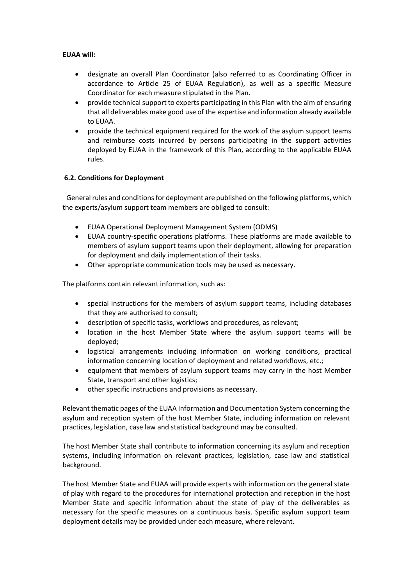## **EUAA will:**

- designate an overall Plan Coordinator (also referred to as Coordinating Officer in accordance to Article 25 of EUAA Regulation), as well as a specific Measure Coordinator for each measure stipulated in the Plan.
- provide technical support to experts participating in this Plan with the aim of ensuring that all deliverables make good use of the expertise and information already available to EUAA.
- provide the technical equipment required for the work of the asylum support teams and reimburse costs incurred by persons participating in the support activities deployed by EUAA in the framework of this Plan, according to the applicable EUAA rules.

## **6.2. Conditions for Deployment**

General rules and conditions for deployment are published on the following platforms, which the experts/asylum support team members are obliged to consult: 

- EUAA Operational Deployment Management System (ODMS)
- EUAA country-specific operations platforms. These platforms are made available to members of asylum support teams upon their deployment, allowing for preparation for deployment and daily implementation of their tasks.
- Other appropriate communication tools may be used as necessary.

The platforms contain relevant information, such as: 

- special instructions for the members of asylum support teams, including databases that they are authorised to consult;
- description of specific tasks, workflows and procedures, as relevant;
- location in the host Member State where the asylum support teams will be deployed;
- logistical arrangements including information on working conditions, practical information concerning location of deployment and related workflows, etc.;
- equipment that members of asylum support teams may carry in the host Member State, transport and other logistics;
- other specific instructions and provisions as necessary.

Relevant thematic pages of the EUAA Information and Documentation System concerning the asylum and reception system of the host Member State, including information on relevant practices, legislation, case law and statistical background may be consulted.  

The host Member State shall contribute to information concerning its asylum and reception systems, including information on relevant practices, legislation, case law and statistical background. 

The host Member State and EUAA will provide experts with information on the general state of play with regard to the procedures for international protection and reception in the host Member State and specific information about the state of play of the deliverables as necessary for the specific measures on a continuous basis. Specific asylum support team deployment details may be provided under each measure, where relevant.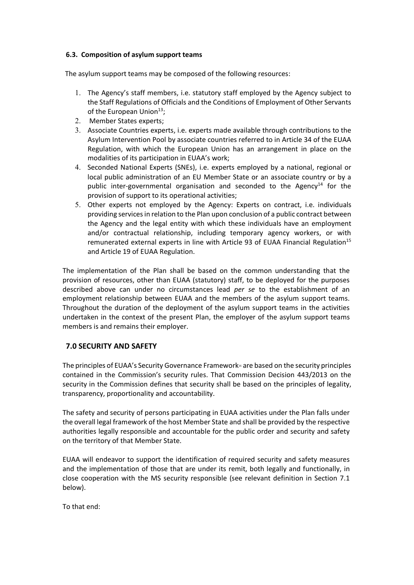## **6.3.  Composition of asylum support teams**

The asylum support teams may be composed of the following resources:  

- 1. The Agency's staff members, i.e. statutory staff employed by the Agency subject to the Staff Regulations of Officials and the Conditions of Employment of Other Servants of the European Union $^{13}$ ;
- 2. Member States experts;
- 3. Associate Countries experts, i.e. experts made available through contributions to the Asylum Intervention Pool by associate countries referred to in Article 34 of the EUAA Regulation, with which the European Union has an arrangement in place on the modalities of its participation in EUAA's work;
- 4. Seconded National Experts (SNEs), i.e. experts employed by a national, regional or local public administration of an EU Member State or an associate country or by a public inter-governmental organisation and seconded to the Agency<sup>14</sup> for the provision of support to its operational activities;
- 5. Other experts not employed by the Agency: Experts on contract, i.e. individuals providing services in relation to the Plan upon conclusion of a public contract between the Agency and the legal entity with which these individuals have an employment and/or contractual relationship, including temporary agency workers, or with remunerated external experts in line with Article 93 of EUAA Financial Regulation<sup>15</sup> and Article 19 of EUAA Regulation.

The implementation of the Plan shall be based on the common understanding that the provision of resources, other than EUAA (statutory) staff, to be deployed for the purposes described above can under no circumstances lead *per se* to the establishment of an employment relationship between EUAA and the members of the asylum support teams. Throughout the duration of the deployment of the asylum support teams in the activities undertaken in the context of the present Plan, the employer of the asylum support teams members is and remains their employer. 

## **7.0 SECURITY AND SAFETY**

The principles of EUAA's Security Governance Framework<sup>®</sup> are based on the security principles contained in the Commission's security rules. That Commission Decision 443/2013 on the security in the Commission defines that security shall be based on the principles of legality, transparency, proportionality and accountability. 

The safety and security of persons participating in EUAA activities under the Plan falls under the overall legal framework of the host Member State and shall be provided by the respective authorities legally responsible and accountable for the public order and security and safety on the territory of that Member State. 

EUAA will endeavor to support the identification of required security and safety measures and the implementation of those that are under its remit, both legally and functionally, in close cooperation with the MS security responsible (see relevant definition in Section 7.1 below). 

To that end: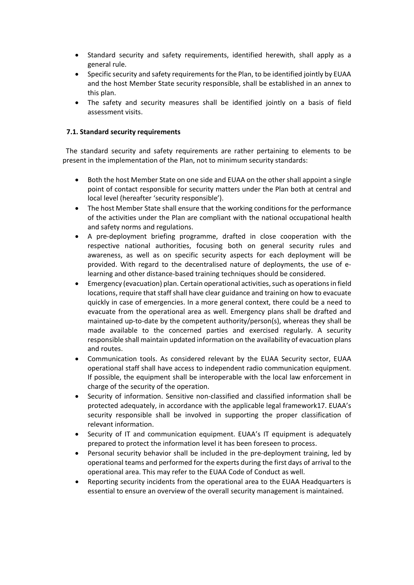- Standard security and safety requirements, identified herewith, shall apply as a general rule.
- Specific security and safety requirements for the Plan, to be identified jointly by EUAA and the host Member State security responsible, shall be established in an annex to this plan.
- The safety and security measures shall be identified jointly on a basis of field assessment visits.

## **7.1. Standard security requirements**

The standard security and safety requirements are rather pertaining to elements to be present in the implementation of the Plan, not to minimum security standards: 

- Both the host Member State on one side and EUAA on the other shall appoint a single point of contact responsible for security matters under the Plan both at central and local level (hereafter 'security responsible').
- The host Member State shall ensure that the working conditions for the performance of the activities under the Plan are compliant with the national occupational health and safety norms and regulations.
- A pre-deployment briefing programme, drafted in close cooperation with the respective national authorities, focusing both on general security rules and awareness, as well as on specific security aspects for each deployment will be provided. With regard to the decentralised nature of deployments, the use of elearning and other distance-based training techniques should be considered.
- Emergency (evacuation) plan. Certain operational activities, such as operations in field locations, require that staff shall have clear guidance and training on how to evacuate quickly in case of emergencies. In a more general context, there could be a need to evacuate from the operational area as well. Emergency plans shall be drafted and maintained up-to-date by the competent authority/person(s), whereas they shall be made available to the concerned parties and exercised regularly. A security responsible shall maintain updated information on the availability of evacuation plans and routes.
- Communication tools. As considered relevant by the EUAA Security sector, EUAA operational staff shall have access to independent radio communication equipment. If possible, the equipment shall be interoperable with the local law enforcement in charge of the security of the operation.
- Security of information. Sensitive non-classified and classified information shall be protected adequately, in accordance with the applicable legal framework17. EUAA's security responsible shall be involved in supporting the proper classification of relevant information.
- Security of IT and communication equipment. EUAA's IT equipment is adequately prepared to protect the information level it has been foreseen to process.
- Personal security behavior shall be included in the pre-deployment training, led by operational teams and performed for the experts during the first days of arrival to the operational area. This may refer to the EUAA Code of Conduct as well.
- Reporting security incidents from the operational area to the EUAA Headquarters is essential to ensure an overview of the overall security management is maintained.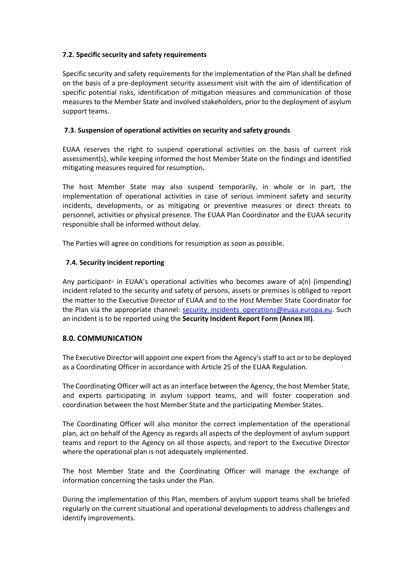## **7.2. Specific security and safety requirements**

Specific security and safety requirements for the implementation of the Plan shall be defined on the basis of a pre-deployment security assessment visit with the aim of identification of specific potential risks, identification of mitigation measures and communication of those measures to the Member State and involved stakeholders, prior to the deployment of asylum support teams. 

## **7.3. Suspension of operational activities on security and safety grounds**

EUAA reserves the right to suspend operational activities on the basis of current risk assessment(s), while keeping informed the host Member State on the findings and identified mitigating measures required for resumption**.**

The host Member State may also suspend temporarily, in whole or in part, the implementation of operational activities in case of serious imminent safety and security incidents, developments, or as mitigating or preventive measures or direct threats to personnel, activities or physical presence. The EUAA Plan Coordinator and the EUAA security responsible shall be informed without delay.  

The Parties will agree on conditions for resumption as soon as possible. 

## **7.4. Security incident reporting**

Any participant<sup>®</sup> in EUAA's operational activities who becomes aware of  $a(n)$  (impending) incident related to the security and safety of persons, assets or premises is obliged to report the matter to the Executive Director of EUAA and to the Host Member State Coordinator for the Plan via the appropriate channel: security incidents operations@euaa.europa.eu. Such an incident is to be reported using the **Security Incident Report Form (Annex III)**.  

## **8.0. COMMUNICATION**

The Executive Director will appoint one expert from the Agency's staff to act or to be deployed as a Coordinating Officer in accordance with Article 25 of the EUAA Regulation. 

The Coordinating Officer will act as an interface between the Agency, the host Member State, and experts participating in asylum support teams, and will foster cooperation and coordination between the host Member State and the participating Member States.  

The Coordinating Officer will also monitor the correct implementation of the operational plan, act on behalf of the Agency as regards all aspects of the deployment of asylum support teams and report to the Agency on all those aspects, and report to the Executive Director where the operational plan is not adequately implemented.  

The host Member State and the Coordinating Officer will manage the exchange of information concerning the tasks under the Plan.  

During the implementation of this Plan, members of asylum support teams shall be briefed regularly on the current situational and operational developments to address challenges and identify improvements.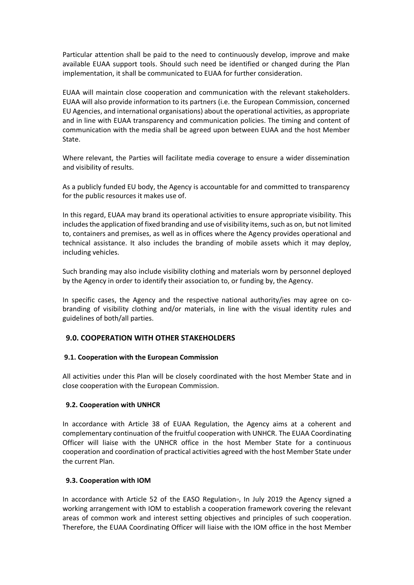Particular attention shall be paid to the need to continuously develop, improve and make available EUAA support tools. Should such need be identified or changed during the Plan implementation, it shall be communicated to EUAA for further consideration. 

EUAA will maintain close cooperation and communication with the relevant stakeholders. EUAA will also provide information to its partners (i.e. the European Commission, concerned EU Agencies, and international organisations) about the operational activities, as appropriate and in line with EUAA transparency and communication policies. The timing and content of communication with the media shall be agreed upon between EUAA and the host Member State. 

Where relevant, the Parties will facilitate media coverage to ensure a wider dissemination and visibility of results.  

As a publicly funded EU body, the Agency is accountable for and committed to transparency for the public resources it makes use of.   

In this regard, EUAA may brand its operational activities to ensure appropriate visibility. This includes the application of fixed branding and use of visibility items, such as on, but not limited to, containers and premises, as well as in offices where the Agency provides operational and technical assistance. It also includes the branding of mobile assets which it may deploy, including vehicles. 

Such branding may also include visibility clothing and materials worn by personnel deployed by the Agency in order to identify their association to, or funding by, the Agency. 

In specific cases, the Agency and the respective national authority/ies may agree on cobranding of visibility clothing and/or materials, in line with the visual identity rules and guidelines of both/all parties. 

## **9.0. COOPERATION WITH OTHER STAKEHOLDERS**

## **9.1. Cooperation with the European Commission**

All activities under this Plan will be closely coordinated with the host Member State and in close cooperation with the European Commission. 

#### **9.2. Cooperation with UNHCR**

In accordance with Article 38 of EUAA Regulation, the Agency aims at a coherent and complementary continuation of the fruitful cooperation with UNHCR. The EUAA Coordinating Officer will liaise with the UNHCR office in the host Member State for a continuous cooperation and coordination of practical activities agreed with the host Member State under the current Plan. 

## **9.3. Cooperation with IOM**

In accordance with Article 52 of the EASO Regulation<sup>9</sup>, In July 2019 the Agency signed a working arrangement with IOM to establish a cooperation framework covering the relevant areas of common work and interest setting objectives and principles of such cooperation. Therefore, the EUAA Coordinating Officer will liaise with the IOM office in the host Member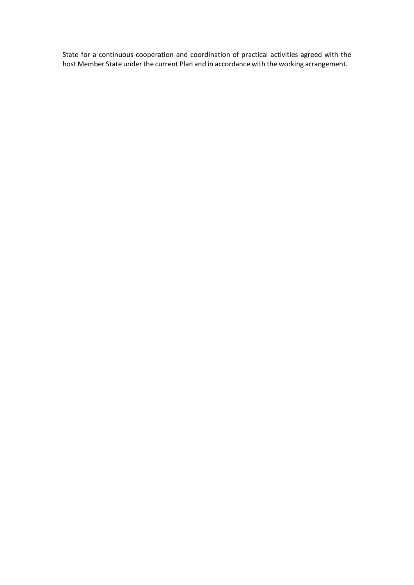State for a continuous cooperation and coordination of practical activities agreed with the host Member State under the current Plan and in accordance with the working arrangement.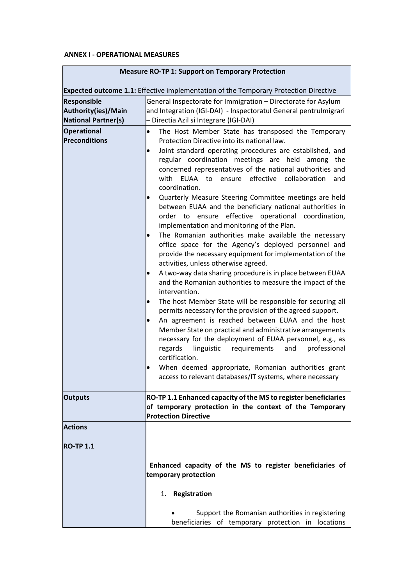## **ANNEX I - OPERATIONAL MEASURES**

|                                                                         | <b>Expected outcome 1.1:</b> Effective implementation of the Temporary Protection Directive                                                                                                                                                                                                                                                                                                                                                                                                                                                                                                                                                                                                                                                                                                                                                                                                                                                                                                                                                                                                                                                                                                                                                                                                                                                                                                                       |  |  |
|-------------------------------------------------------------------------|-------------------------------------------------------------------------------------------------------------------------------------------------------------------------------------------------------------------------------------------------------------------------------------------------------------------------------------------------------------------------------------------------------------------------------------------------------------------------------------------------------------------------------------------------------------------------------------------------------------------------------------------------------------------------------------------------------------------------------------------------------------------------------------------------------------------------------------------------------------------------------------------------------------------------------------------------------------------------------------------------------------------------------------------------------------------------------------------------------------------------------------------------------------------------------------------------------------------------------------------------------------------------------------------------------------------------------------------------------------------------------------------------------------------|--|--|
| <b>Responsible</b><br>Authority(ies)/Main<br><b>National Partner(s)</b> | General Inspectorate for Immigration - Directorate for Asylum<br>and Integration (IGI-DAI) - Inspectoratul General pentrulmigrari<br>- Directia Azil si Integrare (IGI-DAI)                                                                                                                                                                                                                                                                                                                                                                                                                                                                                                                                                                                                                                                                                                                                                                                                                                                                                                                                                                                                                                                                                                                                                                                                                                       |  |  |
| <b>Operational</b><br><b>Preconditions</b>                              | The Host Member State has transposed the Temporary<br>$\bullet$<br>Protection Directive into its national law.<br>Joint standard operating procedures are established, and<br>regular coordination meetings are held among the<br>concerned representatives of the national authorities and<br>with EUAA to ensure effective collaboration<br>and<br>coordination.<br>Quarterly Measure Steering Committee meetings are held<br>between EUAA and the beneficiary national authorities in<br>effective operational coordination,<br>order to ensure<br>implementation and monitoring of the Plan.<br>The Romanian authorities make available the necessary<br>office space for the Agency's deployed personnel and<br>provide the necessary equipment for implementation of the<br>activities, unless otherwise agreed.<br>A two-way data sharing procedure is in place between EUAA<br>and the Romanian authorities to measure the impact of the<br>intervention.<br>The host Member State will be responsible for securing all<br>permits necessary for the provision of the agreed support.<br>An agreement is reached between EUAA and the host<br>Member State on practical and administrative arrangements<br>necessary for the deployment of EUAA personnel, e.g., as<br>regards<br>linguistic requirements<br>and<br>professional<br>certification.<br>When deemed appropriate, Romanian authorities grant |  |  |
| <b>Outputs</b>                                                          | RO-TP 1.1 Enhanced capacity of the MS to register beneficiaries<br>of temporary protection in the context of the Temporary<br><b>Protection Directive</b>                                                                                                                                                                                                                                                                                                                                                                                                                                                                                                                                                                                                                                                                                                                                                                                                                                                                                                                                                                                                                                                                                                                                                                                                                                                         |  |  |
| <b>Actions</b>                                                          |                                                                                                                                                                                                                                                                                                                                                                                                                                                                                                                                                                                                                                                                                                                                                                                                                                                                                                                                                                                                                                                                                                                                                                                                                                                                                                                                                                                                                   |  |  |
| <b>RO-TP 1.1</b>                                                        | Enhanced capacity of the MS to register beneficiaries of<br>temporary protection                                                                                                                                                                                                                                                                                                                                                                                                                                                                                                                                                                                                                                                                                                                                                                                                                                                                                                                                                                                                                                                                                                                                                                                                                                                                                                                                  |  |  |
|                                                                         | Registration<br>1.                                                                                                                                                                                                                                                                                                                                                                                                                                                                                                                                                                                                                                                                                                                                                                                                                                                                                                                                                                                                                                                                                                                                                                                                                                                                                                                                                                                                |  |  |
|                                                                         | Support the Romanian authorities in registering<br>beneficiaries of temporary protection in locations                                                                                                                                                                                                                                                                                                                                                                                                                                                                                                                                                                                                                                                                                                                                                                                                                                                                                                                                                                                                                                                                                                                                                                                                                                                                                                             |  |  |

# **Measure RO-TP 1: Support on Temporary Protection**

٦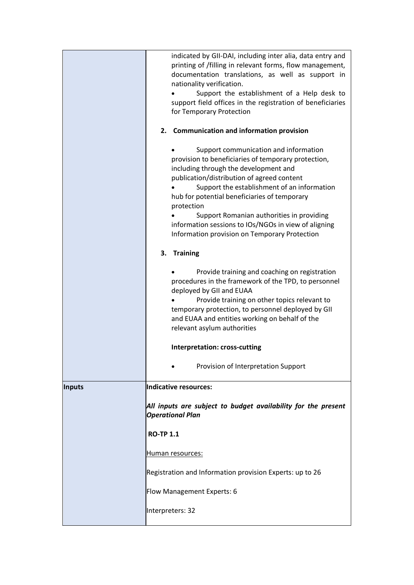|               | indicated by GII-DAI, including inter alia, data entry and<br>printing of /filling in relevant forms, flow management,<br>documentation translations, as well as support in<br>nationality verification.<br>Support the establishment of a Help desk to<br>support field offices in the registration of beneficiaries<br>for Temporary Protection<br>2. Communication and information provision<br>Support communication and information<br>provision to beneficiaries of temporary protection,<br>including through the development and<br>publication/distribution of agreed content<br>Support the establishment of an information<br>hub for potential beneficiaries of temporary<br>protection<br>Support Romanian authorities in providing<br>information sessions to IOs/NGOs in view of aligning<br>Information provision on Temporary Protection<br>3.<br><b>Training</b><br>Provide training and coaching on registration<br>procedures in the framework of the TPD, to personnel<br>deployed by GII and EUAA<br>Provide training on other topics relevant to<br>temporary protection, to personnel deployed by GII<br>and EUAA and entities working on behalf of the |
|---------------|---------------------------------------------------------------------------------------------------------------------------------------------------------------------------------------------------------------------------------------------------------------------------------------------------------------------------------------------------------------------------------------------------------------------------------------------------------------------------------------------------------------------------------------------------------------------------------------------------------------------------------------------------------------------------------------------------------------------------------------------------------------------------------------------------------------------------------------------------------------------------------------------------------------------------------------------------------------------------------------------------------------------------------------------------------------------------------------------------------------------------------------------------------------------------------|
|               | relevant asylum authorities<br><b>Interpretation: cross-cutting</b>                                                                                                                                                                                                                                                                                                                                                                                                                                                                                                                                                                                                                                                                                                                                                                                                                                                                                                                                                                                                                                                                                                             |
|               | Provision of Interpretation Support                                                                                                                                                                                                                                                                                                                                                                                                                                                                                                                                                                                                                                                                                                                                                                                                                                                                                                                                                                                                                                                                                                                                             |
| <b>Inputs</b> | Indicative resources:                                                                                                                                                                                                                                                                                                                                                                                                                                                                                                                                                                                                                                                                                                                                                                                                                                                                                                                                                                                                                                                                                                                                                           |
|               | All inputs are subject to budget availability for the present<br><b>Operational Plan</b>                                                                                                                                                                                                                                                                                                                                                                                                                                                                                                                                                                                                                                                                                                                                                                                                                                                                                                                                                                                                                                                                                        |
|               | <b>RO-TP 1.1</b>                                                                                                                                                                                                                                                                                                                                                                                                                                                                                                                                                                                                                                                                                                                                                                                                                                                                                                                                                                                                                                                                                                                                                                |
|               | Human resources:                                                                                                                                                                                                                                                                                                                                                                                                                                                                                                                                                                                                                                                                                                                                                                                                                                                                                                                                                                                                                                                                                                                                                                |
|               | Registration and Information provision Experts: up to 26                                                                                                                                                                                                                                                                                                                                                                                                                                                                                                                                                                                                                                                                                                                                                                                                                                                                                                                                                                                                                                                                                                                        |
|               | Flow Management Experts: 6                                                                                                                                                                                                                                                                                                                                                                                                                                                                                                                                                                                                                                                                                                                                                                                                                                                                                                                                                                                                                                                                                                                                                      |
|               | Interpreters: 32                                                                                                                                                                                                                                                                                                                                                                                                                                                                                                                                                                                                                                                                                                                                                                                                                                                                                                                                                                                                                                                                                                                                                                |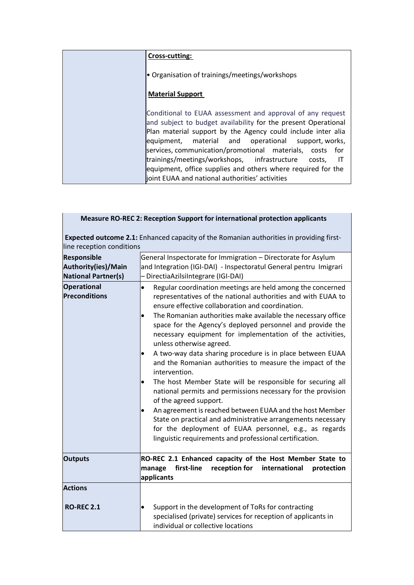| Cross-cutting:                                                                                                                                                                                                                                                                                                                                                                                                                                                                                    |
|---------------------------------------------------------------------------------------------------------------------------------------------------------------------------------------------------------------------------------------------------------------------------------------------------------------------------------------------------------------------------------------------------------------------------------------------------------------------------------------------------|
| • Organisation of trainings/meetings/workshops                                                                                                                                                                                                                                                                                                                                                                                                                                                    |
| <b>Material Support</b>                                                                                                                                                                                                                                                                                                                                                                                                                                                                           |
| Conditional to EUAA assessment and approval of any request<br>and subject to budget availability for the present Operational<br>Plan material support by the Agency could include inter alia<br>equipment, material and operational support, works,<br>services, communication/promotional materials, costs for<br>trainings/meetings/workshops, infrastructure<br>ा<br>costs.<br>equipment, office supplies and others where required for the<br>joint EUAA and national authorities' activities |

| Measure RO-REC 2: Reception Support for international protection applicants                                                 |                                                                                                                                                                                                                                                                                                                                                                                                                                                                                                                                                                                                                                                                                                                                                                                                                                                                                                                                                                                         |  |
|-----------------------------------------------------------------------------------------------------------------------------|-----------------------------------------------------------------------------------------------------------------------------------------------------------------------------------------------------------------------------------------------------------------------------------------------------------------------------------------------------------------------------------------------------------------------------------------------------------------------------------------------------------------------------------------------------------------------------------------------------------------------------------------------------------------------------------------------------------------------------------------------------------------------------------------------------------------------------------------------------------------------------------------------------------------------------------------------------------------------------------------|--|
| <b>Expected outcome 2.1:</b> Enhanced capacity of the Romanian authorities in providing first-<br>line reception conditions |                                                                                                                                                                                                                                                                                                                                                                                                                                                                                                                                                                                                                                                                                                                                                                                                                                                                                                                                                                                         |  |
| Responsible<br>Authority(ies)/Main<br><b>National Partner(s)</b>                                                            | General Inspectorate for Immigration - Directorate for Asylum<br>and Integration (IGI-DAI) - Inspectoratul General pentru Imigrari<br>- DirectiaAzilsiIntegrare (IGI-DAI)                                                                                                                                                                                                                                                                                                                                                                                                                                                                                                                                                                                                                                                                                                                                                                                                               |  |
| <b>Operational</b><br>Preconditions                                                                                         | Regular coordination meetings are held among the concerned<br>$\bullet$<br>representatives of the national authorities and with EUAA to<br>ensure effective collaboration and coordination.<br>The Romanian authorities make available the necessary office<br>$\bullet$<br>space for the Agency's deployed personnel and provide the<br>necessary equipment for implementation of the activities,<br>unless otherwise agreed.<br>A two-way data sharing procedure is in place between EUAA<br>and the Romanian authorities to measure the impact of the<br>intervention.<br>The host Member State will be responsible for securing all<br>national permits and permissions necessary for the provision<br>of the agreed support.<br>An agreement is reached between EUAA and the host Member<br>٠<br>State on practical and administrative arrangements necessary<br>for the deployment of EUAA personnel, e.g., as regards<br>linguistic requirements and professional certification. |  |
| <b>Outputs</b>                                                                                                              | RO-REC 2.1 Enhanced capacity of the Host Member State to<br>first-line<br>reception for<br>international<br>manage<br>protection<br>applicants                                                                                                                                                                                                                                                                                                                                                                                                                                                                                                                                                                                                                                                                                                                                                                                                                                          |  |
| <b>Actions</b>                                                                                                              |                                                                                                                                                                                                                                                                                                                                                                                                                                                                                                                                                                                                                                                                                                                                                                                                                                                                                                                                                                                         |  |
| <b>RO-REC 2.1</b>                                                                                                           | Support in the development of ToRs for contracting<br>$\bullet$<br>specialised (private) services for reception of applicants in<br>individual or collective locations                                                                                                                                                                                                                                                                                                                                                                                                                                                                                                                                                                                                                                                                                                                                                                                                                  |  |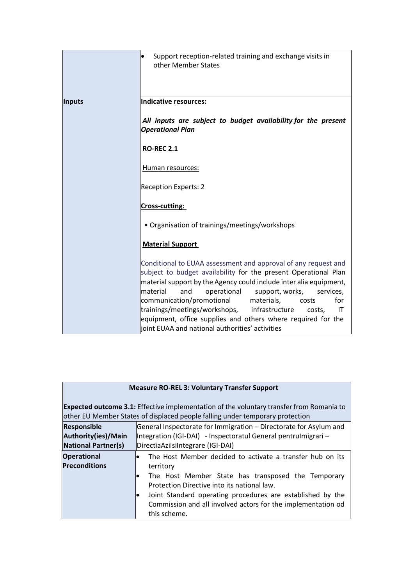|                                                | Support reception-related training and exchange visits in<br>$\bullet$<br>other Member States                                                                                                                                                                                                                                                                                                                                                                                                                           |
|------------------------------------------------|-------------------------------------------------------------------------------------------------------------------------------------------------------------------------------------------------------------------------------------------------------------------------------------------------------------------------------------------------------------------------------------------------------------------------------------------------------------------------------------------------------------------------|
| Inputs                                         | Indicative resources:                                                                                                                                                                                                                                                                                                                                                                                                                                                                                                   |
|                                                | All inputs are subject to budget availability for the present<br><b>Operational Plan</b>                                                                                                                                                                                                                                                                                                                                                                                                                                |
| <b>RO-REC 2.1</b><br>Human resources:          |                                                                                                                                                                                                                                                                                                                                                                                                                                                                                                                         |
|                                                |                                                                                                                                                                                                                                                                                                                                                                                                                                                                                                                         |
|                                                | Cross-cutting:                                                                                                                                                                                                                                                                                                                                                                                                                                                                                                          |
| • Organisation of trainings/meetings/workshops |                                                                                                                                                                                                                                                                                                                                                                                                                                                                                                                         |
|                                                | <b>Material Support</b>                                                                                                                                                                                                                                                                                                                                                                                                                                                                                                 |
|                                                | Conditional to EUAA assessment and approval of any request and<br>subject to budget availability for the present Operational Plan<br>material support by the Agency could include inter alia equipment,<br>material<br>and<br>operational<br>support, works,<br>services,<br>communication/promotional<br>for<br>materials,<br>costs<br>trainings/meetings/workshops, infrastructure<br>IT<br>costs.<br>equipment, office supplies and others where required for the<br>joint EUAA and national authorities' activities |

| <b>Measure RO-REL 3: Voluntary Transfer Support</b>                                                                                                                              |                                                                                                                                                                                                                                                                                                                           |  |
|----------------------------------------------------------------------------------------------------------------------------------------------------------------------------------|---------------------------------------------------------------------------------------------------------------------------------------------------------------------------------------------------------------------------------------------------------------------------------------------------------------------------|--|
| <b>Expected outcome 3.1:</b> Effective implementation of the voluntary transfer from Romania to<br>other EU Member States of displaced people falling under temporary protection |                                                                                                                                                                                                                                                                                                                           |  |
| <b>Responsible</b><br>Authority(ies)/Main<br><b>National Partner(s)</b>                                                                                                          | General Inspectorate for Immigration - Directorate for Asylum and<br>Integration (IGI-DAI) - Inspectoratul General pentrulmigrari –<br>DirectiaAzilsiIntegrare (IGI-DAI)                                                                                                                                                  |  |
| <b>Operational</b><br><b>Preconditions</b>                                                                                                                                       | The Host Member decided to activate a transfer hub on its<br>territory<br>The Host Member State has transposed the Temporary<br>Protection Directive into its national law.<br>Joint Standard operating procedures are established by the<br>Commission and all involved actors for the implementation od<br>this scheme. |  |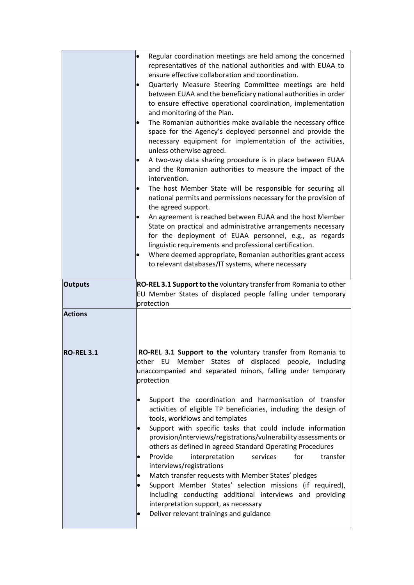|                   | Regular coordination meetings are held among the concerned<br>representatives of the national authorities and with EUAA to<br>ensure effective collaboration and coordination.<br>Quarterly Measure Steering Committee meetings are held<br>between EUAA and the beneficiary national authorities in order<br>to ensure effective operational coordination, implementation<br>and monitoring of the Plan.                                                                    |
|-------------------|------------------------------------------------------------------------------------------------------------------------------------------------------------------------------------------------------------------------------------------------------------------------------------------------------------------------------------------------------------------------------------------------------------------------------------------------------------------------------|
|                   | The Romanian authorities make available the necessary office<br>space for the Agency's deployed personnel and provide the<br>necessary equipment for implementation of the activities,<br>unless otherwise agreed.                                                                                                                                                                                                                                                           |
|                   | A two-way data sharing procedure is in place between EUAA<br>and the Romanian authorities to measure the impact of the<br>intervention.                                                                                                                                                                                                                                                                                                                                      |
|                   | The host Member State will be responsible for securing all<br>national permits and permissions necessary for the provision of<br>the agreed support.                                                                                                                                                                                                                                                                                                                         |
|                   | An agreement is reached between EUAA and the host Member<br>State on practical and administrative arrangements necessary<br>for the deployment of EUAA personnel, e.g., as regards<br>linguistic requirements and professional certification.<br>Where deemed appropriate, Romanian authorities grant access<br>to relevant databases/IT systems, where necessary                                                                                                            |
| <b>Outputs</b>    | RO-REL 3.1 Support to the voluntary transfer from Romania to other<br>EU Member States of displaced people falling under temporary<br>protection                                                                                                                                                                                                                                                                                                                             |
| <b>Actions</b>    |                                                                                                                                                                                                                                                                                                                                                                                                                                                                              |
| <b>RO-REL 3.1</b> | RO-REL 3.1 Support to the voluntary transfer from Romania to<br>other EU Member States of displaced people, including<br>unaccompanied and separated minors, falling under temporary<br>protection                                                                                                                                                                                                                                                                           |
|                   | Support the coordination and harmonisation of transfer<br>activities of eligible TP beneficiaries, including the design of<br>tools, workflows and templates<br>Support with specific tasks that could include information<br>$\bullet$<br>provision/interviews/registrations/vulnerability assessments or<br>others as defined in agreed Standard Operating Procedures<br>Provide<br>for<br>interpretation<br>services<br>transfer<br>$\bullet$<br>interviews/registrations |
|                   | Match transfer requests with Member States' pledges<br>Support Member States' selection missions (if required),<br>including conducting additional interviews and providing<br>interpretation support, as necessary<br>Deliver relevant trainings and guidance                                                                                                                                                                                                               |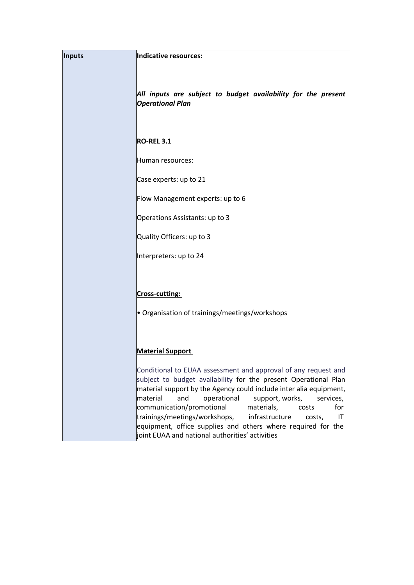| <b>Inputs</b> | Indicative resources:                                                                                                                                                                                                                                                                                                                                                                                                                                                                                                      |
|---------------|----------------------------------------------------------------------------------------------------------------------------------------------------------------------------------------------------------------------------------------------------------------------------------------------------------------------------------------------------------------------------------------------------------------------------------------------------------------------------------------------------------------------------|
|               | All inputs are subject to budget availability for the present<br><b>Operational Plan</b>                                                                                                                                                                                                                                                                                                                                                                                                                                   |
|               | <b>RO-REL 3.1</b>                                                                                                                                                                                                                                                                                                                                                                                                                                                                                                          |
|               | Human resources:                                                                                                                                                                                                                                                                                                                                                                                                                                                                                                           |
|               | Case experts: up to 21                                                                                                                                                                                                                                                                                                                                                                                                                                                                                                     |
|               | Flow Management experts: up to 6                                                                                                                                                                                                                                                                                                                                                                                                                                                                                           |
|               | Operations Assistants: up to 3                                                                                                                                                                                                                                                                                                                                                                                                                                                                                             |
|               | Quality Officers: up to 3                                                                                                                                                                                                                                                                                                                                                                                                                                                                                                  |
|               | Interpreters: up to 24                                                                                                                                                                                                                                                                                                                                                                                                                                                                                                     |
|               |                                                                                                                                                                                                                                                                                                                                                                                                                                                                                                                            |
|               | Cross-cutting:                                                                                                                                                                                                                                                                                                                                                                                                                                                                                                             |
|               | • Organisation of trainings/meetings/workshops                                                                                                                                                                                                                                                                                                                                                                                                                                                                             |
|               |                                                                                                                                                                                                                                                                                                                                                                                                                                                                                                                            |
|               | <b>Material Support</b>                                                                                                                                                                                                                                                                                                                                                                                                                                                                                                    |
|               | Conditional to EUAA assessment and approval of any request and<br>subject to budget availability for the present Operational Plan<br>material support by the Agency could include inter alia equipment,<br>material<br>operational<br>support, works,<br>and<br>services,<br>communication/promotional<br>materials,<br>for<br>costs<br>trainings/meetings/workshops,<br>infrastructure<br>IT<br>costs,<br>equipment, office supplies and others where required for the<br>joint EUAA and national authorities' activities |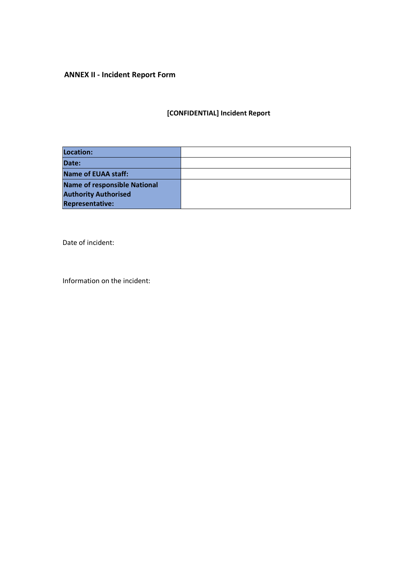# **ANNEX II - Incident Report Form**

# **[CONFIDENTIAL] Incident Report**

| Location:                           |  |
|-------------------------------------|--|
| Date:                               |  |
| Name of EUAA staff:                 |  |
| <b>Name of responsible National</b> |  |
| <b>Authority Authorised</b>         |  |
| <b>Representative:</b>              |  |

Date of incident:

Information on the incident: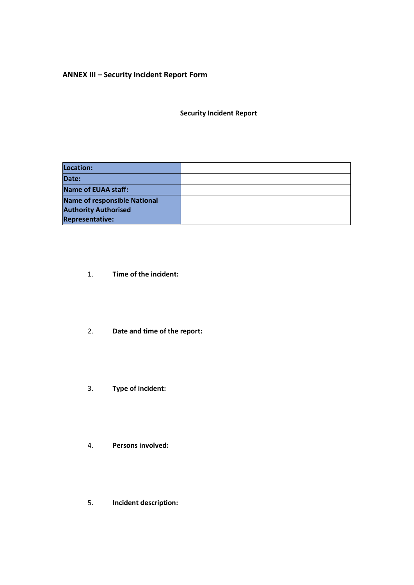## **ANNEX III – Security Incident Report Form**

**Security Incident Report**

| Location:                           |  |
|-------------------------------------|--|
| Date:                               |  |
| <b>Name of EUAA staff:</b>          |  |
| <b>Name of responsible National</b> |  |
| <b>Authority Authorised</b>         |  |
| <b>Representative:</b>              |  |

- 1. **Time of the incident:**
- 2. **Date and time of the report:**
- 3. **Type of incident:**
- 4. **Persons involved:**
- 5. **Incident description:**